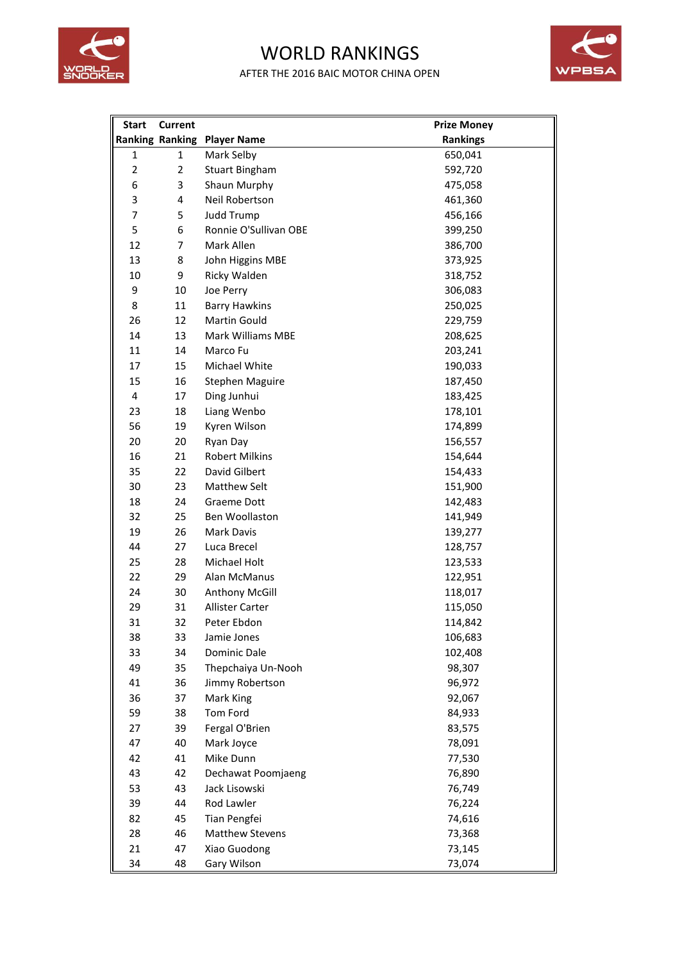

## WORLD RANKINGS

AFTER THE 2016 BAIC MOTOR CHINA OPEN



| <b>Start</b>   | <b>Current</b>         |                        | <b>Prize Money</b> |
|----------------|------------------------|------------------------|--------------------|
|                | <b>Ranking Ranking</b> | <b>Player Name</b>     | <b>Rankings</b>    |
| 1              | $\mathbf{1}$           | Mark Selby             | 650,041            |
| $\overline{2}$ | $\overline{2}$         | <b>Stuart Bingham</b>  | 592,720            |
| 6              | 3                      | Shaun Murphy           | 475,058            |
| 3              | 4                      | Neil Robertson         | 461,360            |
| $\overline{7}$ | 5                      | Judd Trump             | 456,166            |
| 5              | 6                      | Ronnie O'Sullivan OBE  | 399,250            |
| 12             | $\overline{7}$         | Mark Allen             | 386,700            |
| 13             | 8                      | John Higgins MBE       | 373,925            |
| 10             | 9                      | Ricky Walden           | 318,752            |
| 9              | 10                     | Joe Perry              | 306,083            |
| 8              | 11                     | <b>Barry Hawkins</b>   | 250,025            |
| 26             | 12                     | Martin Gould           | 229,759            |
| 14             | 13                     | Mark Williams MBE      | 208,625            |
| 11             | 14                     | Marco Fu               | 203,241            |
| 17             | 15                     | Michael White          | 190,033            |
| 15             | 16                     | <b>Stephen Maguire</b> | 187,450            |
| 4              | 17                     | Ding Junhui            | 183,425            |
| 23             | 18                     | Liang Wenbo            | 178,101            |
| 56             | 19                     | Kyren Wilson           | 174,899            |
| 20             | 20                     | Ryan Day               | 156,557            |
| 16             | 21                     | <b>Robert Milkins</b>  | 154,644            |
| 35             | 22                     | David Gilbert          | 154,433            |
| 30             | 23                     | <b>Matthew Selt</b>    | 151,900            |
| 18             | 24                     | Graeme Dott            | 142,483            |
| 32             | 25                     | Ben Woollaston         | 141,949            |
| 19             | 26                     | Mark Davis             | 139,277            |
| 44             | 27                     | Luca Brecel            | 128,757            |
| 25             | 28                     | Michael Holt           | 123,533            |
| 22             | 29                     | Alan McManus           | 122,951            |
| 24             | 30                     | Anthony McGill         | 118,017            |
| 29             | 31                     | <b>Allister Carter</b> | 115,050            |
| 31             | 32                     | Peter Ebdon            | 114,842            |
| 38             | 33                     | Jamie Jones            | 106,683            |
| 33             | 34                     | Dominic Dale           | 102,408            |
| 49             | 35                     | Thepchaiya Un-Nooh     | 98,307             |
| 41             | 36                     | Jimmy Robertson        | 96,972             |
| 36             | 37                     | Mark King              | 92,067             |
| 59             | 38                     | Tom Ford               | 84,933             |
| 27             | 39                     | Fergal O'Brien         | 83,575             |
| 47             | 40                     | Mark Joyce             | 78,091             |
| 42             | 41                     | Mike Dunn              | 77,530             |
| 43             | 42                     | Dechawat Poomjaeng     | 76,890             |
| 53             | 43                     | Jack Lisowski          | 76,749             |
| 39             | 44                     | Rod Lawler             | 76,224             |
| 82             | 45                     | Tian Pengfei           | 74,616             |
| 28             | 46                     | <b>Matthew Stevens</b> | 73,368             |
| 21             | 47                     | Xiao Guodong           | 73,145             |
| 34             | 48                     | Gary Wilson            | 73,074             |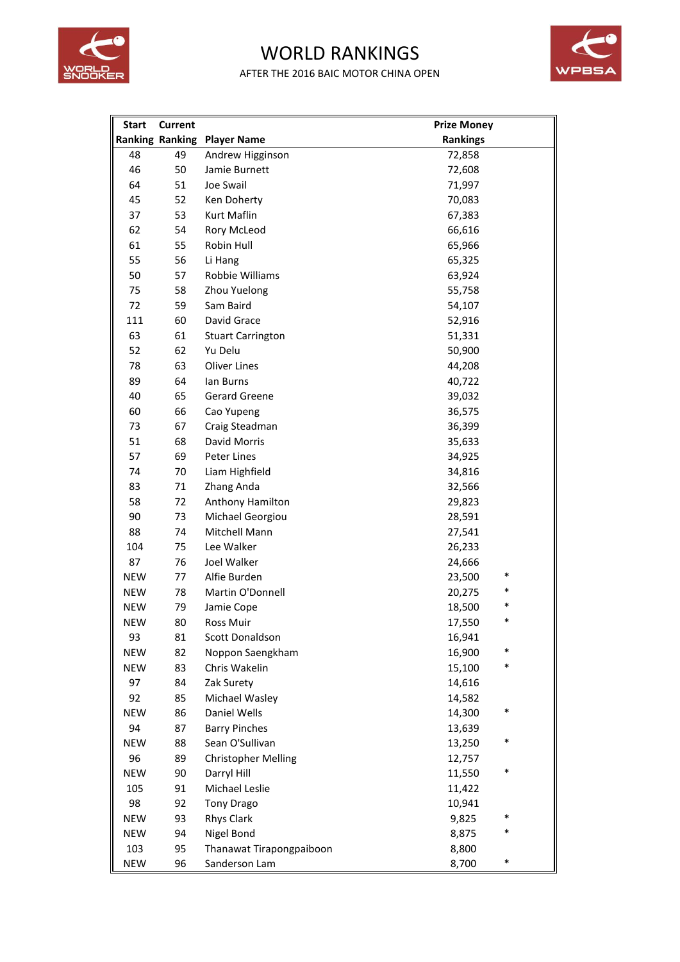

## WORLD RANKINGS

AFTER THE 2016 BAIC MOTOR CHINA OPEN



| <b>Start</b> | <b>Current</b> |                                    | <b>Prize Money</b> |
|--------------|----------------|------------------------------------|--------------------|
|              |                | <b>Ranking Ranking Player Name</b> | <b>Rankings</b>    |
| 48           | 49             | Andrew Higginson                   | 72,858             |
| 46           | 50             | Jamie Burnett                      | 72,608             |
| 64           | 51             | Joe Swail                          | 71,997             |
| 45           | 52             | Ken Doherty                        | 70,083             |
| 37           | 53             | Kurt Maflin                        | 67,383             |
| 62           | 54             | Rory McLeod                        | 66,616             |
| 61           | 55             | Robin Hull                         | 65,966             |
| 55           | 56             | Li Hang                            | 65,325             |
| 50           | 57             | Robbie Williams                    | 63,924             |
| 75           | 58             | Zhou Yuelong                       | 55,758             |
| 72           | 59             | Sam Baird                          | 54,107             |
| 111          | 60             | David Grace                        | 52,916             |
| 63           | 61             | <b>Stuart Carrington</b>           | 51,331             |
| 52           | 62             | Yu Delu                            | 50,900             |
| 78           | 63             | <b>Oliver Lines</b>                | 44,208             |
| 89           | 64             | lan Burns                          | 40,722             |
| 40           | 65             | Gerard Greene                      | 39,032             |
| 60           | 66             | Cao Yupeng                         | 36,575             |
| 73           | 67             | Craig Steadman                     | 36,399             |
| 51           | 68             | David Morris                       | 35,633             |
| 57           | 69             | Peter Lines                        | 34,925             |
| 74           | 70             | Liam Highfield                     | 34,816             |
| 83           | 71             | Zhang Anda                         | 32,566             |
| 58           | 72             | Anthony Hamilton                   | 29,823             |
| 90           | 73             | Michael Georgiou                   | 28,591             |
| 88           | 74             | Mitchell Mann                      | 27,541             |
| 104          | 75             | Lee Walker                         | 26,233             |
| 87           | 76             | Joel Walker                        | 24,666             |
| <b>NEW</b>   | 77             | Alfie Burden                       | $\ast$<br>23,500   |
| <b>NEW</b>   | 78             | Martin O'Donnell                   | 20,275             |
| <b>NEW</b>   | 79             | Jamie Cope                         | *<br>18,500        |
| <b>NEW</b>   | 80             | <b>Ross Muir</b>                   | *<br>17,550        |
| 93           | 81             | Scott Donaldson                    | 16,941             |
| <b>NEW</b>   | 82             | Noppon Saengkham                   | 16,900<br>*        |
| <b>NEW</b>   | 83             | Chris Wakelin                      | *<br>15,100        |
| 97           | 84             | Zak Surety                         | 14,616             |
| 92           | 85             | Michael Wasley                     | 14,582             |
| <b>NEW</b>   | 86             | Daniel Wells                       | $\ast$<br>14,300   |
| 94           | 87             | <b>Barry Pinches</b>               | 13,639             |
| <b>NEW</b>   | 88             | Sean O'Sullivan                    | $\ast$<br>13,250   |
| 96           | 89             | <b>Christopher Melling</b>         | 12,757             |
| <b>NEW</b>   | 90             | Darryl Hill                        | *<br>11,550        |
| 105          | 91             | Michael Leslie                     | 11,422             |
| 98           | 92             | <b>Tony Drago</b>                  | 10,941             |
| <b>NEW</b>   | 93             | Rhys Clark                         | *<br>9,825         |
| <b>NEW</b>   | 94             | Nigel Bond                         | *<br>8,875         |
| 103          | 95             | Thanawat Tirapongpaiboon           | 8,800              |
| <b>NEW</b>   | 96             | Sanderson Lam                      | $\ast$<br>8,700    |